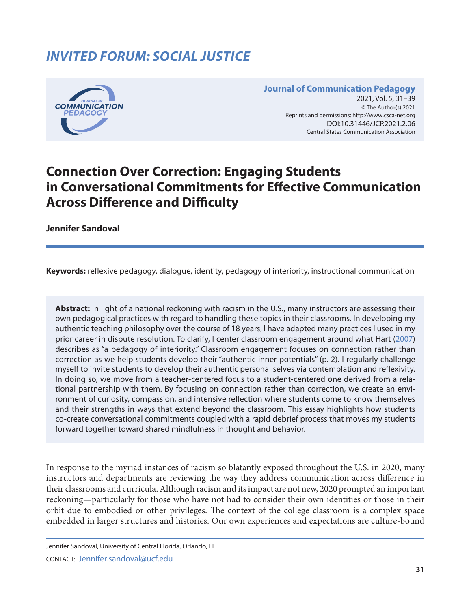## *INVITED FORUM: SOCIAL JUSTICE*



**Journal of Communication Pedagogy** 2021, Vol. 5, 31-39 © The Author(s) 2021 Reprints and permissions: <http://www.csca-net.org> 2021, Vol. 5, 31–392021Reprints and permissions:<http://www.csca-net.org> DOI:10.31446/JCP.2021.2.06 Central States Communication Association Central States Communication Association

## **Connection Over Correction: Engaging Students in Conversational Commitments for Effective Communication Across Difference and Difficulty**

**Jennifer Sandoval**

**Keywords:** reflexive pedagogy, dialogue, identity, pedagogy of interiority, instructional communication

**Abstract:** In light of a national reckoning with racism in the U.S., many instructors are assessing their own pedagogical practices with regard to handling these topics in their classrooms. In developing my authentic teaching philosophy over the course of 18 years, I have adapted many practices I used in my prior career in dispute resolution. To clarify, I center classroom engagement around what Hart [\(2007\)](#page-7-0) describes as "a pedagogy of interiority." Classroom engagement focuses on connection rather than correction as we help students develop their "authentic inner potentials" (p. 2). I regularly challenge myself to invite students to develop their authentic personal selves via contemplation and reflexivity. In doing so, we move from a teacher-centered focus to a student-centered one derived from a relational partnership with them. By focusing on connection rather than correction, we create an environment of curiosity, compassion, and intensive reflection where students come to know themselves and their strengths in ways that extend beyond the classroom. This essay highlights how students co-create conversational commitments coupled with a rapid debrief process that moves my students forward together toward shared mindfulness in thought and behavior.

In response to the myriad instances of racism so blatantly exposed throughout the U.S. in 2020, many instructors and departments are reviewing the way they address communication across difference in their classrooms and curricula. Although racism and its impact are not new, 2020 prompted an important reckoning—particularly for those who have not had to consider their own identities or those in their orbit due to embodied or other privileges. The context of the college classroom is a complex space embedded in larger structures and histories. Our own experiences and expectations are culture-bound

Jennifer Sandoval, University of Central Florida, Orlando, FL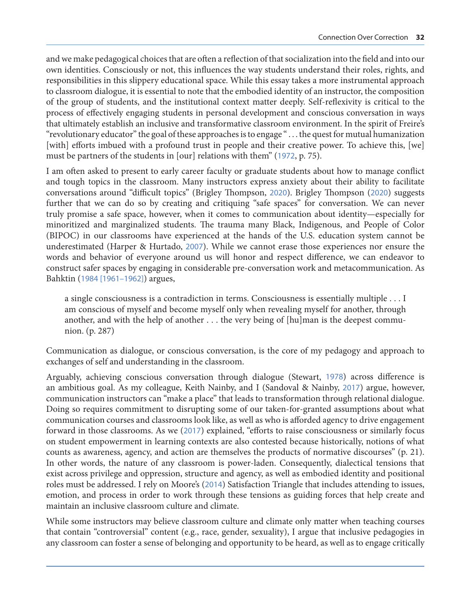and we make pedagogical choices that are often a reflection of that socialization into the field and into our own identities. Consciously or not, this influences the way students understand their roles, rights, and responsibilities in this slippery educational space. While this essay takes a more instrumental approach to classroom dialogue, it is essential to note that the embodied identity of an instructor, the composition of the group of students, and the institutional context matter deeply. Self-reflexivity is critical to the process of effectively engaging students in personal development and conscious conversation in ways that ultimately establish an inclusive and transformative classroom environment. In the spirit of Freire's "revolutionary educator" the goal of these approaches is to engage " . . . the quest for mutual humanization [with] efforts imbued with a profound trust in people and their creative power. To achieve this, [we] must be partners of the students in [our] relations with them" ([1972](#page-7-0), p. 75).

I am often asked to present to early career faculty or graduate students about how to manage conflict and tough topics in the classroom. Many instructors express anxiety about their ability to facilitate conversations around "difficult topics" (Brigley Thompson, [2020](#page-7-0)). Brigley Thompson ([2020](#page-7-0)) suggests further that we can do so by creating and critiquing "safe spaces" for conversation. We can never truly promise a safe space, however, when it comes to communication about identity—especially for minoritized and marginalized students. The trauma many Black, Indigenous, and People of Color (BIPOC) in our classrooms have experienced at the hands of the U.S. education system cannot be underestimated (Harper & Hurtado, [2007](#page-7-0)). While we cannot erase those experiences nor ensure the words and behavior of everyone around us will honor and respect difference, we can endeavor to construct safer spaces by engaging in considerable pre-conversation work and metacommunication. As Bahktin ([1984 \[1961–1962\]](#page-7-0)) argues,

a single consciousness is a contradiction in terms. Consciousness is essentially multiple . . . I am conscious of myself and become myself only when revealing myself for another, through another, and with the help of another . . . the very being of [hu]man is the deepest communion. (p. 287)

Communication as dialogue, or conscious conversation, is the core of my pedagogy and approach to exchanges of self and understanding in the classroom.

Arguably, achieving conscious conversation through dialogue (Stewart, [1978](#page-8-0)) across difference is an ambitious goal. As my colleague, Keith Nainby, and I (Sandoval & Nainby, [2017](#page-7-0)) argue, however, communication instructors can "make a place" that leads to transformation through relational dialogue. Doing so requires commitment to disrupting some of our taken-for-granted assumptions about what communication courses and classrooms look like, as well as who is afforded agency to drive engagement forward in those classrooms. As we ([2017](#page-7-0)) explained, "efforts to raise consciousness or similarly focus on student empowerment in learning contexts are also contested because historically, notions of what counts as awareness, agency, and action are themselves the products of normative discourses" (p. 21). In other words, the nature of any classroom is power-laden. Consequently, dialectical tensions that exist across privilege and oppression, structure and agency, as well as embodied identity and positional roles must be addressed. I rely on Moore's ([2014](#page-7-0)) Satisfaction Triangle that includes attending to issues, emotion, and process in order to work through these tensions as guiding forces that help create and maintain an inclusive classroom culture and climate.

While some instructors may believe classroom culture and climate only matter when teaching courses that contain "controversial" content (e.g., race, gender, sexuality), I argue that inclusive pedagogies in any classroom can foster a sense of belonging and opportunity to be heard, as well as to engage critically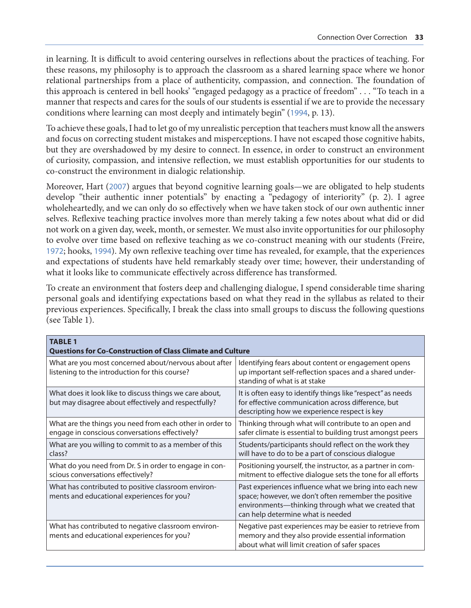in learning. It is difficult to avoid centering ourselves in reflections about the practices of teaching. For these reasons, my philosophy is to approach the classroom as a shared learning space where we honor relational partnerships from a place of authenticity, compassion, and connection. The foundation of this approach is centered in bell hooks' "engaged pedagogy as a practice of freedom" . . . "To teach in a manner that respects and cares for the souls of our students is essential if we are to provide the necessary conditions where learning can most deeply and intimately begin" ([1994](#page-7-0), p. 13).

To achieve these goals, I had to let go of my unrealistic perception that teachers must know all the answers and focus on correcting student mistakes and misperceptions. I have not escaped those cognitive habits, but they are overshadowed by my desire to connect. In essence, in order to construct an environment of curiosity, compassion, and intensive reflection, we must establish opportunities for our students to co-construct the environment in dialogic relationship.

Moreover, Hart ([2007](#page-7-0)) argues that beyond cognitive learning goals—we are obligated to help students develop "their authentic inner potentials" by enacting a "pedagogy of interiority" (p. 2). I agree wholeheartedly, and we can only do so effectively when we have taken stock of our own authentic inner selves. Reflexive teaching practice involves more than merely taking a few notes about what did or did not work on a given day, week, month, or semester. We must also invite opportunities for our philosophy to evolve over time based on reflexive teaching as we co-construct meaning with our students (Freire, [1972](#page-7-0); hooks, [1994](#page-7-0)). My own reflexive teaching over time has revealed, for example, that the experiences and expectations of students have held remarkably steady over time; however, their understanding of what it looks like to communicate effectively across difference has transformed.

To create an environment that fosters deep and challenging dialogue, I spend considerable time sharing personal goals and identifying expectations based on what they read in the syllabus as related to their previous experiences. Specifically, I break the class into small groups to discuss the following questions (see Table 1).

| <b>TABLE 1</b><br><b>Questions for Co-Construction of Class Climate and Culture</b>                             |                                                                                                                                                                                                           |  |
|-----------------------------------------------------------------------------------------------------------------|-----------------------------------------------------------------------------------------------------------------------------------------------------------------------------------------------------------|--|
| What are you most concerned about/nervous about after<br>listening to the introduction for this course?         | Identifying fears about content or engagement opens<br>up important self-reflection spaces and a shared under-<br>standing of what is at stake                                                            |  |
| What does it look like to discuss things we care about,<br>but may disagree about effectively and respectfully? | It is often easy to identify things like "respect" as needs<br>for effective communication across difference, but<br>descripting how we experience respect is key                                         |  |
| What are the things you need from each other in order to<br>engage in conscious conversations effectively?      | Thinking through what will contribute to an open and<br>safer climate is essential to building trust amongst peers                                                                                        |  |
| What are you willing to commit to as a member of this<br>class?                                                 | Students/participants should reflect on the work they<br>will have to do to be a part of conscious dialogue                                                                                               |  |
| What do you need from Dr. S in order to engage in con-<br>scious conversations effectively?                     | Positioning yourself, the instructor, as a partner in com-<br>mitment to effective dialogue sets the tone for all efforts                                                                                 |  |
| What has contributed to positive classroom environ-<br>ments and educational experiences for you?               | Past experiences influence what we bring into each new<br>space; however, we don't often remember the positive<br>environments—thinking through what we created that<br>can help determine what is needed |  |
| What has contributed to negative classroom environ-<br>ments and educational experiences for you?               | Negative past experiences may be easier to retrieve from<br>memory and they also provide essential information<br>about what will limit creation of safer spaces                                          |  |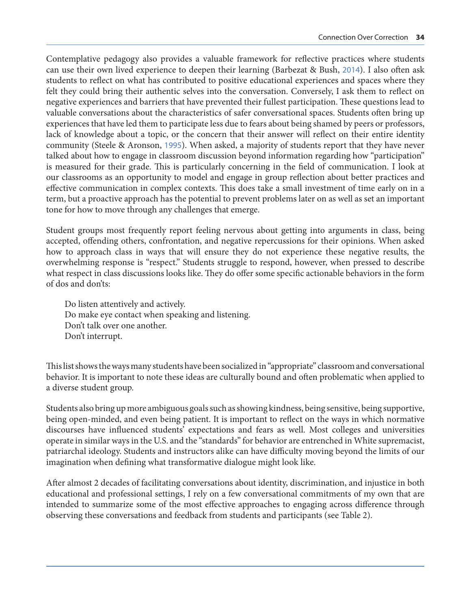Contemplative pedagogy also provides a valuable framework for reflective practices where students can use their own lived experience to deepen their learning (Barbezat & Bush, [2014](#page-7-0)). I also often ask students to reflect on what has contributed to positive educational experiences and spaces where they felt they could bring their authentic selves into the conversation. Conversely, I ask them to reflect on negative experiences and barriers that have prevented their fullest participation. These questions lead to valuable conversations about the characteristics of safer conversational spaces. Students often bring up experiences that have led them to participate less due to fears about being shamed by peers or professors, lack of knowledge about a topic, or the concern that their answer will reflect on their entire identity community (Steele & Aronson, [1995](#page-8-0)). When asked, a majority of students report that they have never talked about how to engage in classroom discussion beyond information regarding how "participation" is measured for their grade. This is particularly concerning in the field of communication. I look at our classrooms as an opportunity to model and engage in group reflection about better practices and effective communication in complex contexts. This does take a small investment of time early on in a term, but a proactive approach has the potential to prevent problems later on as well as set an important tone for how to move through any challenges that emerge.

Student groups most frequently report feeling nervous about getting into arguments in class, being accepted, offending others, confrontation, and negative repercussions for their opinions. When asked how to approach class in ways that will ensure they do not experience these negative results, the overwhelming response is "respect." Students struggle to respond, however, when pressed to describe what respect in class discussions looks like. They do offer some specific actionable behaviors in the form of dos and don'ts:

Do listen attentively and actively. Do make eye contact when speaking and listening. Don't talk over one another. Don't interrupt.

This list shows the ways many students have been socialized in "appropriate" classroom and conversational behavior. It is important to note these ideas are culturally bound and often problematic when applied to a diverse student group.

Students also bring up more ambiguous goals such as showing kindness, being sensitive, being supportive, being open-minded, and even being patient. It is important to reflect on the ways in which normative discourses have influenced students' expectations and fears as well. Most colleges and universities operate in similar ways in the U.S. and the "standards" for behavior are entrenched in White supremacist, patriarchal ideology. Students and instructors alike can have difficulty moving beyond the limits of our imagination when defining what transformative dialogue might look like.

After almost 2 decades of facilitating conversations about identity, discrimination, and injustice in both educational and professional settings, I rely on a few conversational commitments of my own that are intended to summarize some of the most effective approaches to engaging across difference through observing these conversations and feedback from students and participants (see Table 2).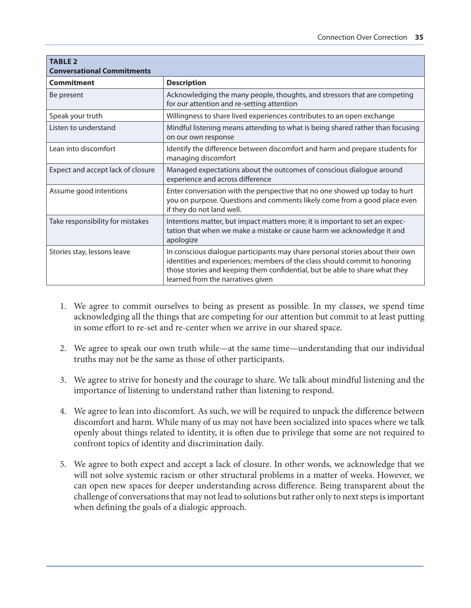| <b>TABLE 2</b><br><b>Conversational Commitments</b> |                                                                                                                                                                                                                                                                                 |
|-----------------------------------------------------|---------------------------------------------------------------------------------------------------------------------------------------------------------------------------------------------------------------------------------------------------------------------------------|
| <b>Commitment</b>                                   | <b>Description</b>                                                                                                                                                                                                                                                              |
| Be present                                          | Acknowledging the many people, thoughts, and stressors that are competing<br>for our attention and re-setting attention                                                                                                                                                         |
| Speak your truth                                    | Willingness to share lived experiences contributes to an open exchange                                                                                                                                                                                                          |
| Listen to understand                                | Mindful listening means attending to what is being shared rather than focusing<br>on our own response                                                                                                                                                                           |
| Lean into discomfort                                | Identify the difference between discomfort and harm and prepare students for<br>managing discomfort                                                                                                                                                                             |
| Expect and accept lack of closure                   | Managed expectations about the outcomes of conscious dialogue around<br>experience and across difference                                                                                                                                                                        |
| Assume good intentions                              | Enter conversation with the perspective that no one showed up today to hurt<br>you on purpose. Questions and comments likely come from a good place even<br>if they do not land well.                                                                                           |
| Take responsibility for mistakes                    | Intentions matter, but impact matters more; it is important to set an expec-<br>tation that when we make a mistake or cause harm we acknowledge it and<br>apologize                                                                                                             |
| Stories stay, lessons leave                         | In conscious dialogue participants may share personal stories about their own<br>identities and experiences; members of the class should commit to honoring<br>those stories and keeping them confidential, but be able to share what they<br>learned from the narratives given |

- 1. We agree to commit ourselves to being as present as possible. In my classes, we spend time acknowledging all the things that are competing for our attention but commit to at least putting in some effort to re-set and re-center when we arrive in our shared space.
- 2. We agree to speak our own truth while—at the same time—understanding that our individual truths may not be the same as those of other participants.
- 3. We agree to strive for honesty and the courage to share. We talk about mindful listening and the importance of listening to understand rather than listening to respond.
- 4. We agree to lean into discomfort. As such, we will be required to unpack the difference between discomfort and harm. While many of us may not have been socialized into spaces where we talk openly about things related to identity, it is often due to privilege that some are not required to confront topics of identity and discrimination daily.
- 5. We agree to both expect and accept a lack of closure. In other words, we acknowledge that we will not solve systemic racism or other structural problems in a matter of weeks. However, we can open new spaces for deeper understanding across difference. Being transparent about the challenge of conversations that may not lead to solutions but rather only to next steps is important when defining the goals of a dialogic approach.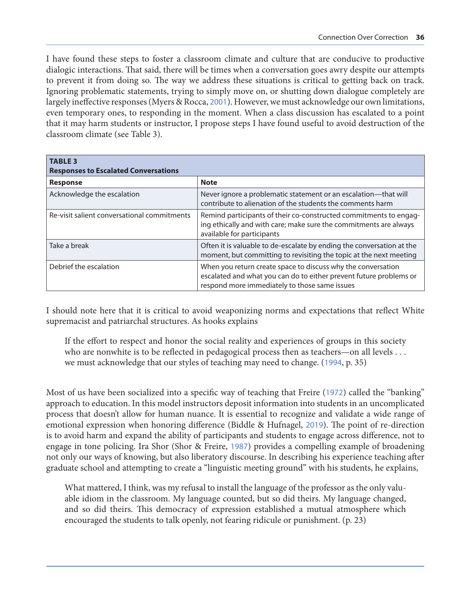I have found these steps to foster a classroom climate and culture that are conducive to productive dialogic interactions. That said, there will be times when a conversation goes awry despite our attempts to prevent it from doing so. The way we address these situations is critical to getting back on track. Ignoring problematic statements, trying to simply move on, or shutting down dialogue completely are largely ineffective responses (Myers & Rocca, [2001](#page-7-0)). However, we must acknowledge our own limitations, even temporary ones, to responding in the moment. When a class discussion has escalated to a point that it may harm students or instructor, I propose steps I have found useful to avoid destruction of the classroom climate (see Table 3).

| <b>TABLE 3</b><br><b>Responses to Escalated Conversations</b> |                                                                                                                                                                                     |  |
|---------------------------------------------------------------|-------------------------------------------------------------------------------------------------------------------------------------------------------------------------------------|--|
| <b>Response</b>                                               | <b>Note</b>                                                                                                                                                                         |  |
| Acknowledge the escalation                                    | Never ignore a problematic statement or an escalation-that will<br>contribute to alienation of the students the comments harm                                                       |  |
| Re-visit salient conversational commitments                   | Remind participants of their co-constructed commitments to engag-<br>ing ethically and with care; make sure the commitments are always<br>available for participants                |  |
| Take a break                                                  | Often it is valuable to de-escalate by ending the conversation at the<br>moment, but committing to revisiting the topic at the next meeting                                         |  |
| Debrief the escalation                                        | When you return create space to discuss why the conversation<br>escalated and what you can do to either prevent future problems or<br>respond more immediately to those same issues |  |

I should note here that it is critical to avoid weaponizing norms and expectations that reflect White supremacist and patriarchal structures. As hooks explains

If the effort to respect and honor the social reality and experiences of groups in this society who are nonwhite is to be reflected in pedagogical process then as teachers—on all levels . . . we must acknowledge that our styles of teaching may need to change. ([1994](#page-7-0), p. 35)

Most of us have been socialized into a specific way of teaching that Freire ([1972](#page-7-0)) called the "banking" approach to education. In this model instructors deposit information into students in an uncomplicated process that doesn't allow for human nuance. It is essential to recognize and validate a wide range of emotional expression when honoring difference (Biddle & Hufnagel, [2019](#page-7-0)). The point of re-direction is to avoid harm and expand the ability of participants and students to engage across difference, not to engage in tone policing. Ira Shor (Shor & Freire, [1987](#page-7-0)) provides a compelling example of broadening not only our ways of knowing, but also liberatory discourse. In describing his experience teaching after graduate school and attempting to create a "linguistic meeting ground" with his students, he explains,

What mattered, I think, was my refusal to install the language of the professor as the only valuable idiom in the classroom. My language counted, but so did theirs. My language changed, and so did theirs. This democracy of expression established a mutual atmosphere which encouraged the students to talk openly, not fearing ridicule or punishment. (p. 23)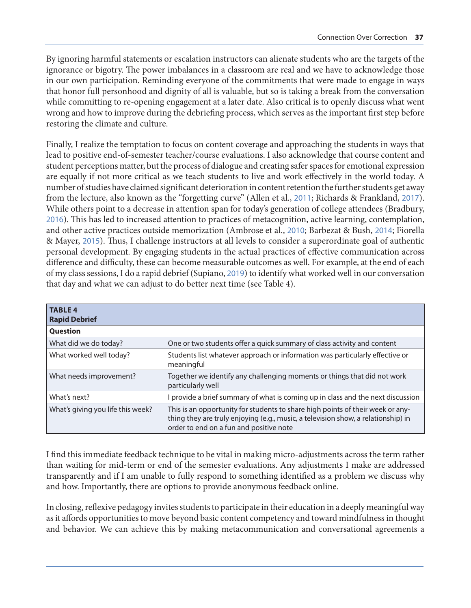By ignoring harmful statements or escalation instructors can alienate students who are the targets of the ignorance or bigotry. The power imbalances in a classroom are real and we have to acknowledge those in our own participation. Reminding everyone of the commitments that were made to engage in ways that honor full personhood and dignity of all is valuable, but so is taking a break from the conversation while committing to re-opening engagement at a later date. Also critical is to openly discuss what went wrong and how to improve during the debriefing process, which serves as the important first step before restoring the climate and culture.

Finally, I realize the temptation to focus on content coverage and approaching the students in ways that lead to positive end-of-semester teacher/course evaluations. I also acknowledge that course content and student perceptions matter, but the process of dialogue and creating safer spaces for emotional expression are equally if not more critical as we teach students to live and work effectively in the world today. A number of studies have claimed significant deterioration in content retention the further students get away from the lecture, also known as the "forgetting curve" (Allen et al., [2011](#page-7-0); Richards & Frankland, [2017](#page-7-0)). While others point to a decrease in attention span for today's generation of college attendees (Bradbury, [2016](#page-7-0)). This has led to increased attention to practices of metacognition, active learning, contemplation, and other active practices outside memorization (Ambrose et al., [2010](#page-7-0); Barbezat & Bush, [2014](#page-7-0); Fiorella & Mayer, [2015](#page-7-0)). Thus, I challenge instructors at all levels to consider a superordinate goal of authentic personal development. By engaging students in the actual practices of effective communication across difference and difficulty, these can become measurable outcomes as well. For example, at the end of each of my class sessions, I do a rapid debrief (Supiano, [2019](#page-8-0)) to identify what worked well in our conversation that day and what we can adjust to do better next time (see Table 4).

| <b>TABLE 4</b><br><b>Rapid Debrief</b> |                                                                                                                                                                                                                |
|----------------------------------------|----------------------------------------------------------------------------------------------------------------------------------------------------------------------------------------------------------------|
| <b>Question</b>                        |                                                                                                                                                                                                                |
| What did we do today?                  | One or two students offer a quick summary of class activity and content                                                                                                                                        |
| What worked well today?                | Students list whatever approach or information was particularly effective or<br>meaningful                                                                                                                     |
| What needs improvement?                | Together we identify any challenging moments or things that did not work<br>particularly well                                                                                                                  |
| What's next?                           | provide a brief summary of what is coming up in class and the next discussion                                                                                                                                  |
| What's giving you life this week?      | This is an opportunity for students to share high points of their week or any-<br>thing they are truly enjoying (e.g., music, a television show, a relationship) in<br>order to end on a fun and positive note |

I find this immediate feedback technique to be vital in making micro-adjustments across the term rather than waiting for mid-term or end of the semester evaluations. Any adjustments I make are addressed transparently and if I am unable to fully respond to something identified as a problem we discuss why and how. Importantly, there are options to provide anonymous feedback online.

In closing, reflexive pedagogy invites students to participate in their education in a deeply meaningful way as it affords opportunities to move beyond basic content competency and toward mindfulness in thought and behavior. We can achieve this by making metacommunication and conversational agreements a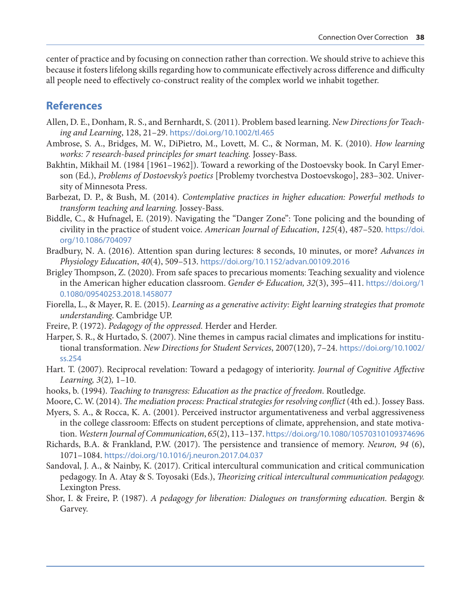<span id="page-7-0"></span>center of practice and by focusing on connection rather than correction. We should strive to achieve this because it fosters lifelong skills regarding how to communicate effectively across difference and difficulty all people need to effectively co-construct reality of the complex world we inhabit together.

## **References**

- Allen, D. E., Donham, R. S., and Bernhardt, S. (2011). Problem based learning. *New Directions for Teaching and Learning*, 128, 21–29. <https://doi.org/10.1002/tl.465>
- Ambrose, S. A., Bridges, M. W., DiPietro, M., Lovett, M. C., & Norman, M. K. (2010). *How learning works: 7 research-based principles for smart teaching.* Jossey-Bass.
- Bakhtin, Mikhail M. (1984 [1961–1962]). Toward a reworking of the Dostoevsky book. In Caryl Emerson (Ed.), *Problems of Dostoevsky's poetics* [Problemy tvorchestva Dostoevskogo], 283–302. University of Minnesota Press.
- Barbezat, D. P., & Bush, M. (2014). *Contemplative practices in higher education: Powerful methods to transform teaching and learning.* Jossey-Bass.
- Biddle, C., & Hufnagel, E. (2019). Navigating the "Danger Zone": Tone policing and the bounding of civility in the practice of student voice. *American Journal of Education*, *125*(4), 487–520. [https://doi.](https://doi.org/10.1086/704097) [org/10.1086/704097](https://doi.org/10.1086/704097)
- Bradbury, N. A. (2016). Attention span during lectures: 8 seconds, 10 minutes, or more? *Advances in Physiology Education*, *40*(4), 509–513. <https://doi.org/10.1152/advan.00109.2016>
- Brigley Thompson, Z. (2020). From safe spaces to precarious moments: Teaching sexuality and violence in the American higher education classroom. *Gender & Education, 32*(3), 395–411. [https://doi.org/1](https://doi.org/10.1080/09540253.2018.1458077) [0.1080/09540253.2018.1458077](https://doi.org/10.1080/09540253.2018.1458077)
- Fiorella, L., & Mayer, R. E. (2015). *Learning as a generative activity: Eight learning strategies that promote understanding*. Cambridge UP.
- Freire, P. (1972). *Pedagogy of the oppressed.* Herder and Herder.
- Harper, S. R., & Hurtado, S. (2007). Nine themes in campus racial climates and implications for institutional transformation. *New Directions for Student Services*, 2007(120), 7–24. [https://doi.org/10.1002/](https://doi.org/10.1002/ss.254) [ss.254](https://doi.org/10.1002/ss.254)
- Hart. T. (2007). Reciprocal revelation: Toward a pedagogy of interiority. *Journal of Cognitive Affective Learning, 3*(2)*,* 1–10.
- hooks, b. (1994). *Teaching to transgress: Education as the practice of freedom*. Routledge.
- Moore, C. W. (2014). *The mediation process: Practical strategies for resolving conflict* (4th ed.). Jossey Bass.
- Myers, S. A., & Rocca, K. A. (2001). Perceived instructor argumentativeness and verbal aggressiveness in the college classroom: Effects on student perceptions of climate, apprehension, and state motivation. *Western Journal of Communication*, *65*(2), 113–137. <https://doi.org/10.1080/10570310109374696>
- Richards, B.A. & Frankland, P.W. (2017). The persistence and transience of memory. *Neuron, 94* (6), 1071–1084. <https://doi.org/10.1016/j.neuron.2017.04.037>
- Sandoval, J. A., & Nainby, K. (2017). Critical intercultural communication and critical communication pedagogy. In A. Atay & S. Toyosaki (Eds.), *Theorizing critical intercultural communication pedagogy.*  Lexington Press.
- Shor, I. & Freire, P. (1987). *A pedagogy for liberation: Dialogues on transforming education.* Bergin & Garvey.